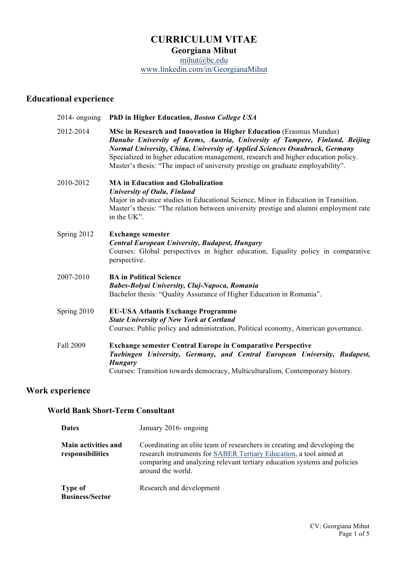# **CURRICULUM VITAE**

**Georgiana Mihut**

mihut@bc.edu www.linkedin.com/in/GeorgianaMihut

# **Educational experience**

| $2014$ - ongoing | PhD in Higher Education, Boston College USA                                                                                                                                                                                                                                                                                                                                                                |
|------------------|------------------------------------------------------------------------------------------------------------------------------------------------------------------------------------------------------------------------------------------------------------------------------------------------------------------------------------------------------------------------------------------------------------|
| 2012-2014        | MSc in Research and Innovation in Higher Education (Erasmus Mundus)<br>Danube University of Krems, Austria, University of Tampere, Finland, Beijing<br>Normal University, China, University of Applied Sciences Osnabruck, Germany<br>Specialized in higher education management, research and higher education policy.<br>Master's thesis: "The impact of university prestige on graduate employability". |
| 2010-2012        | <b>MA in Education and Globalization</b><br>University of Oulu, Finland<br>Major in advance studies in Educational Science, Minor in Education in Transition.<br>Master's thesis: "The relation between university prestige and alumni employment rate<br>in the UK".                                                                                                                                      |
| Spring 2012      | <b>Exchange semester</b><br>Central European University, Budapest, Hungary<br>Courses: Global perspectives in higher education, Equality policy in comparative<br>perspective.                                                                                                                                                                                                                             |
| 2007-2010        | <b>BA</b> in Political Science<br>Babes-Bolyai University, Cluj-Napoca, Romania<br>Bachelor thesis: "Quality Assurance of Higher Education in Romania".                                                                                                                                                                                                                                                    |
| Spring 2010      | <b>EU-USA Atlantis Exchange Programme</b><br><b>State University of New York at Cortland</b><br>Courses: Public policy and administration, Political economy, American governance.                                                                                                                                                                                                                         |
| Fall 2009        | <b>Exchange semester Central Europe in Comparative Perspective</b><br>Tuebingen University, Germany, and Central European University, Budapest,<br><b>Hungary</b><br>Courses: Transition towards democracy, Multiculturalism, Contemporary history.                                                                                                                                                        |

## **Work experience**

## **World Bank Short-Term Consultant**

| <b>Dates</b>                            | January 2016- ongoing                                                                                                                                                                                                                           |
|-----------------------------------------|-------------------------------------------------------------------------------------------------------------------------------------------------------------------------------------------------------------------------------------------------|
| Main activities and<br>responsibilities | Coordinating an elite team of researchers in creating and developing the<br>research instruments for SABER Tertiary Education, a tool aimed at<br>comparing and analyzing relevant tertiary education systems and policies<br>around the world. |
| Type of<br><b>Business/Sector</b>       | Research and development                                                                                                                                                                                                                        |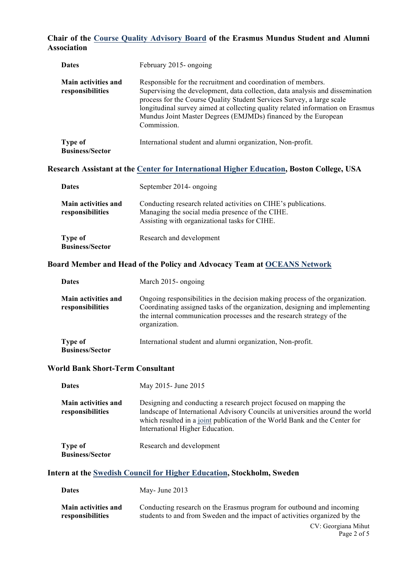#### **Chair of the Course Quality Advisory Board of the Erasmus Mundus Student and Alumni Association**

| <b>Dates</b>                            | February 2015- ongoing                                                                                                                                                                                                                                                                                                                                                                   |
|-----------------------------------------|------------------------------------------------------------------------------------------------------------------------------------------------------------------------------------------------------------------------------------------------------------------------------------------------------------------------------------------------------------------------------------------|
| Main activities and<br>responsibilities | Responsible for the recruitment and coordination of members.<br>Supervising the development, data collection, data analysis and dissemination<br>process for the Course Quality Student Services Survey, a large scale<br>longitudinal survey aimed at collecting quality related information on Erasmus<br>Mundus Joint Master Degrees (EMJMDs) financed by the European<br>Commission. |
| Type of<br><b>Business/Sector</b>       | International student and alumni organization, Non-profit.                                                                                                                                                                                                                                                                                                                               |
|                                         | Research Assistant at the Center for International Higher Education, Boston College, USA                                                                                                                                                                                                                                                                                                 |
| <b>Dates</b>                            | September 2014- ongoing                                                                                                                                                                                                                                                                                                                                                                  |
| Main activities and<br>responsibilities | Conducting research related activities on CIHE's publications.<br>Managing the social media presence of the CIHE.<br>Assisting with organizational tasks for CIHE.                                                                                                                                                                                                                       |
| Type of<br><b>Business/Sector</b>       | Research and development                                                                                                                                                                                                                                                                                                                                                                 |
|                                         | Board Member and Head of the Policy and Advocacy Team at OCEANS Network                                                                                                                                                                                                                                                                                                                  |
| <b>Dates</b>                            | March 2015- ongoing                                                                                                                                                                                                                                                                                                                                                                      |
| Main activities and<br>responsibilities | Ongoing responsibilities in the decision making process of the organization.<br>Coordinating assigned tasks of the organization, designing and implementing<br>the internal communication processes and the research strategy of the<br>organization.                                                                                                                                    |
| <b>Type of</b>                          | International student and alumni organization, Non-profit.                                                                                                                                                                                                                                                                                                                               |

**Business/Sector**

#### **World Bank Short-Term Consultant**

| <b>Dates</b>                                   | May 2015 - June 2015                                                                                                                                                                                                                                                 |
|------------------------------------------------|----------------------------------------------------------------------------------------------------------------------------------------------------------------------------------------------------------------------------------------------------------------------|
| <b>Main activities and</b><br>responsibilities | Designing and conducting a research project focused on mapping the<br>landscape of International Advisory Councils at universities around the world<br>which resulted in a joint publication of the World Bank and the Center for<br>International Higher Education. |
| Type of<br><b>Business/Sector</b>              | Research and development                                                                                                                                                                                                                                             |

## **Intern at the Swedish Council for Higher Education, Stockholm, Sweden**

| <b>Dates</b> | May- June 2013 |
|--------------|----------------|
|--------------|----------------|

**Main activities and responsibilities** Conducting research on the Erasmus program for outbound and incoming students to and from Sweden and the impact of activities organized by the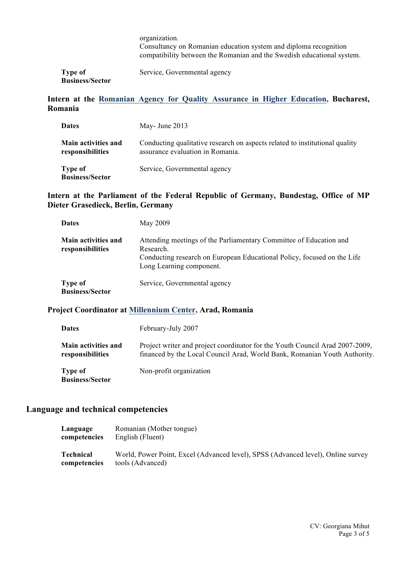|                                   | organization.<br>Consultancy on Romanian education system and diploma recognition<br>compatibility between the Romanian and the Swedish educational system. |
|-----------------------------------|-------------------------------------------------------------------------------------------------------------------------------------------------------------|
| Type of<br><b>Business/Sector</b> | Service, Governmental agency                                                                                                                                |

#### **Intern at the Romanian Agency for Quality Assurance in Higher Education, Bucharest, Romania**

| <b>Dates</b>                                   | May- June $2013$                                                                                                |
|------------------------------------------------|-----------------------------------------------------------------------------------------------------------------|
| <b>Main activities and</b><br>responsibilities | Conducting qualitative research on aspects related to institutional quality<br>assurance evaluation in Romania. |
| Type of<br><b>Business/Sector</b>              | Service, Governmental agency                                                                                    |

#### **Intern at the Parliament of the Federal Republic of Germany, Bundestag, Office of MP Dieter Grasedieck, Berlin, Germany**

| <b>Dates</b>                                   | May 2009                                                                                                                                                                               |
|------------------------------------------------|----------------------------------------------------------------------------------------------------------------------------------------------------------------------------------------|
| <b>Main activities and</b><br>responsibilities | Attending meetings of the Parliamentary Committee of Education and<br>Research.<br>Conducting research on European Educational Policy, focused on the Life<br>Long Learning component. |
| <b>Type of</b><br><b>Business/Sector</b>       | Service, Governmental agency                                                                                                                                                           |

#### **Project Coordinator at Millennium Center, Arad, Romania**

| <b>Dates</b>                                   | February-July 2007                                                                                                                                        |
|------------------------------------------------|-----------------------------------------------------------------------------------------------------------------------------------------------------------|
| <b>Main activities and</b><br>responsibilities | Project writer and project coordinator for the Youth Council Arad 2007-2009,<br>financed by the Local Council Arad, World Bank, Romanian Youth Authority. |
| <b>Type of</b><br><b>Business/Sector</b>       | Non-profit organization                                                                                                                                   |

## **Language and technical competencies**

| Language     | Romanian (Mother tongue)                                                         |
|--------------|----------------------------------------------------------------------------------|
| competencies | English (Fluent)                                                                 |
| Technical    | World, Power Point, Excel (Advanced level), SPSS (Advanced level), Online survey |
| competencies | tools (Advanced)                                                                 |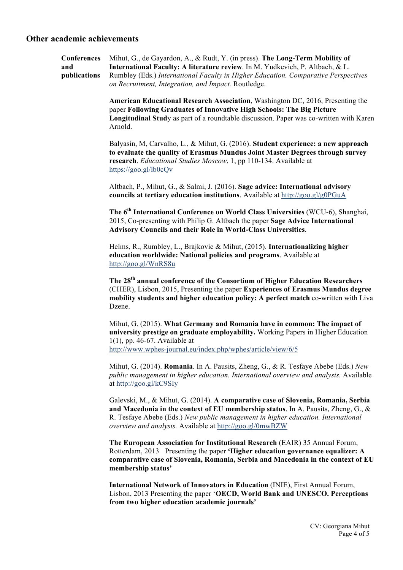#### **Other academic achievements**

| <b>Conferences</b>  | Mihut, G., de Gayardon, A., & Rudt, Y. (in press). The Long-Term Mobility of         |
|---------------------|--------------------------------------------------------------------------------------|
| and                 | <b>International Faculty: A literature review.</b> In M. Yudkevich, P. Altbach, & L. |
| <i>nublications</i> | Rumbley (Eds.) International Faculty in Higher Education. Comparative Perspectives   |
|                     | on Recruitment, Integration, and Impact. Routledge.                                  |

**American Educational Research Association**, Washington DC, 2016, Presenting the paper **Following Graduates of Innovative High Schools: The Big Picture Longitudinal Stud**y as part of a roundtable discussion. Paper was co-written with Karen Arnold.

Balyasin, M, Carvalho, L., & Mihut, G. (2016). **Student experience: a new approach to evaluate the quality of Erasmus Mundus Joint Master Degrees through survey research**. *Educational Studies Moscow*, 1, pp 110-134. Available at https://goo.gl/lb0cQv

Altbach, P., Mihut, G., & Salmi, J. (2016). **Sage advice: International advisory councils at tertiary education institutions**. Available at http://goo.gl/g0PGuA

**The 6th International Conference on World Class Universities** (WCU-6), Shanghai, 2015, Co-presenting with Philip G. Altbach the paper **Sage Advice International Advisory Councils and their Role in World-Class Universities**.

Helms, R., Rumbley, L., Brajkovic & Mihut, (2015). **Internationalizing higher education worldwide: National policies and programs**. Available at http://goo.gl/WnRS8u

**The 28th annual conference of the Consortium of Higher Education Researchers** (CHER), Lisbon, 2015, Presenting the paper **Experiences of Erasmus Mundus degree mobility students and higher education policy: A perfect match** co-written with Liva Dzene.

Mihut, G. (2015). **What Germany and Romania have in common: The impact of university prestige on graduate employability.** Working Papers in Higher Education 1(1), pp. 46-67. Available at http://www.wphes-journal.eu/index.php/wphes/article/view/6/5

Mihut, G. (2014). **Romania**. In A. Pausits, Zheng, G., & R. Tesfaye Abebe (Eds.) *New public management in higher education. International overview and analysis.* Available at http://goo.gl/kC9SIy

Galevski, M., & Mihut, G. (2014). **A comparative case of Slovenia, Romania, Serbia and Macedonia in the context of EU membership status**. In A. Pausits, Zheng, G., & R. Tesfaye Abebe (Eds.) *New public management in higher education. International overview and analysis.* Available at http://goo.gl/0mwBZW

**The European Association for Institutional Research** (EAIR) 35 Annual Forum, Rotterdam, 2013 Presenting the paper **'Higher education governance equalizer: A comparative case of Slovenia, Romania, Serbia and Macedonia in the context of EU membership status'**

**International Network of Innovators in Education** (INIE), First Annual Forum, Lisbon, 2013 Presenting the paper '**OECD, World Bank and UNESCO. Perceptions from two higher education academic journals'**